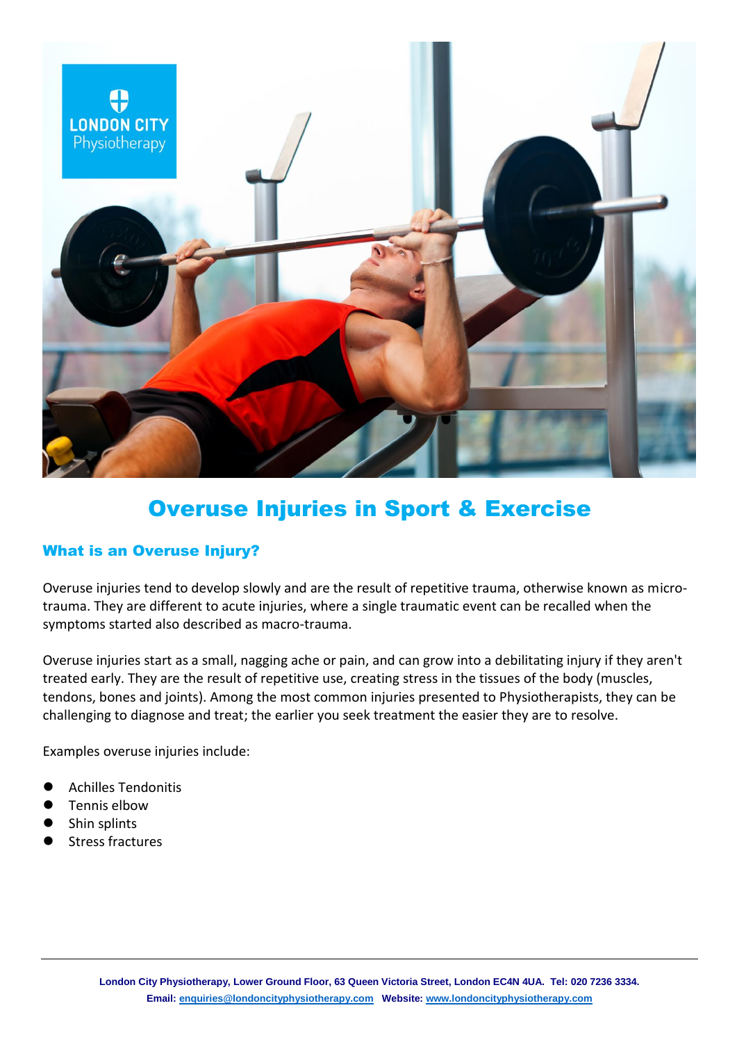

# Overuse Injuries in Sport & Exercise

## What is an Overuse Injury?

Overuse injuries tend to develop slowly and are the result of repetitive trauma, otherwise known as microtrauma. They are different to acute injuries, where a single traumatic event can be recalled when the symptoms started also described as macro-trauma.

Overuse injuries start as a small, nagging ache or pain, and can grow into a debilitating injury if they aren't treated early. They are the result of repetitive use, creating stress in the tissues of the body (muscles, tendons, bones and joints). Among the most common injuries presented to Physiotherapists, they can be challenging to diagnose and treat; the earlier you seek treatment the easier they are to resolve.

Examples overuse injuries include:

- Achilles Tendonitis
- Tennis elbow
- Shin splints
- Stress fractures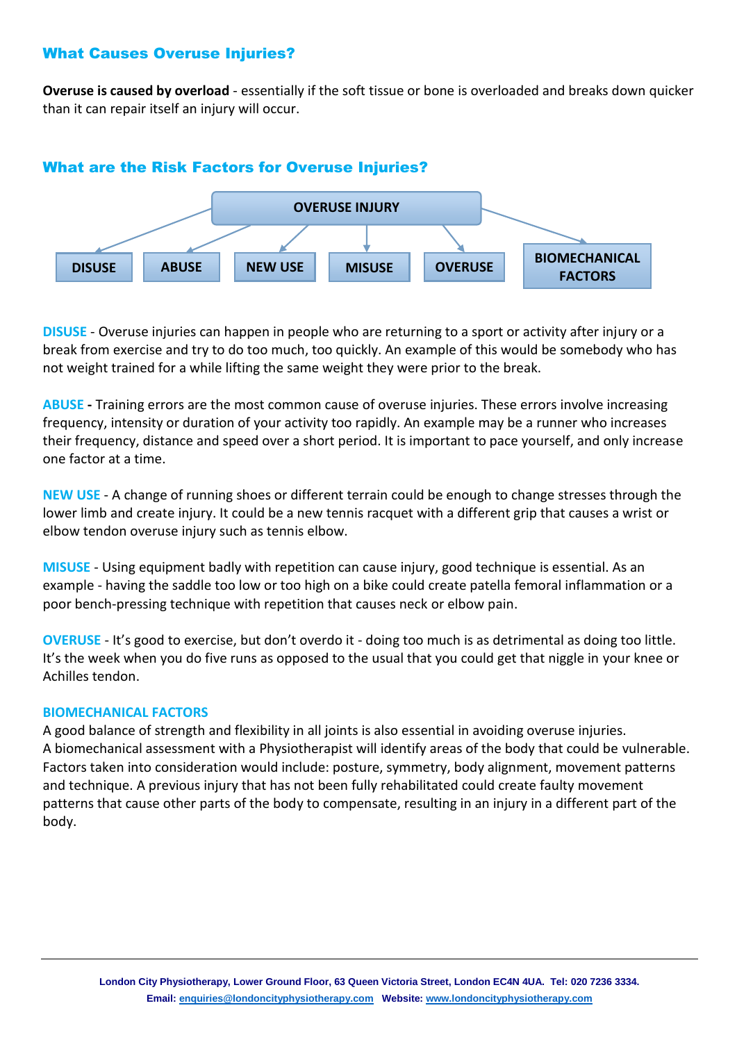### What Causes Overuse Injuries?

**Overuse is caused by overload** - essentially if the soft tissue or bone is overloaded and breaks down quicker than it can repair itself an injury will occur.



#### What are the Risk Factors for Overuse Injuries?

**DISUSE** - Overuse injuries can happen in people who are returning to a sport or activity after injury or a break from exercise and try to do too much, too quickly. An example of this would be somebody who has not weight trained for a while lifting the same weight they were prior to the break.

**ABUSE -** Training errors are the most common cause of overuse injuries. These errors involve increasing frequency, intensity or duration of your activity too rapidly. An example may be a runner who increases their frequency, distance and speed over a short period. It is important to pace yourself, and only increase one factor at a time.

**NEW USE** - A change of running shoes or different terrain could be enough to change stresses through the lower limb and create injury. It could be a new tennis racquet with a different grip that causes a wrist or elbow tendon overuse injury such as tennis elbow.

**MISUSE** - Using equipment badly with repetition can cause injury, good technique is essential. As an example - having the saddle too low or too high on a bike could create patella femoral inflammation or a poor bench-pressing technique with repetition that causes neck or elbow pain.

**OVERUSE** - It's good to exercise, but don't overdo it - doing too much is as detrimental as doing too little. It's the week when you do five runs as opposed to the usual that you could get that niggle in your knee or Achilles tendon.

#### **BIOMECHANICAL FACTORS**

A good balance of strength and flexibility in all joints is also essential in avoiding overuse injuries. A biomechanical assessment with a Physiotherapist will identify areas of the body that could be vulnerable. Factors taken into consideration would include: posture, symmetry, body alignment, movement patterns and technique. A previous injury that has not been fully rehabilitated could create faulty movement patterns that cause other parts of the body to compensate, resulting in an injury in a different part of the body.